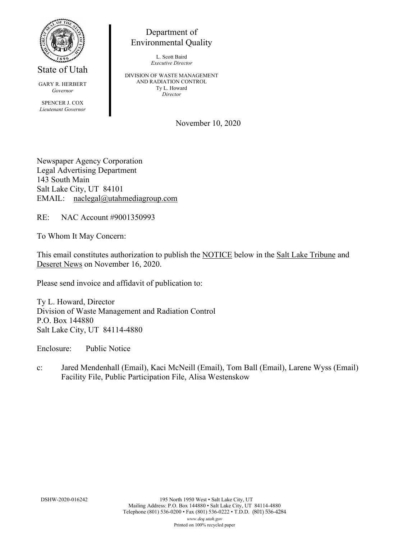

State of Utah

GARY R. HERBERT *Governor* SPENCER J. COX *Lieutenant Governor*

Environmental Quality

L. Scott Baird *Executive Director*

Department of

DIVISION OF WASTE MANAGEMENT AND RADIATION CONTROL Ty L. Howard *Director*

November 10, 2020

Newspaper Agency Corporation Legal Advertising Department 143 South Main Salt Lake City, UT 84101 EMAIL: naclegal@utahmediagroup.com

RE: NAC Account #9001350993

To Whom It May Concern:

This email constitutes authorization to publish the NOTICE below in the Salt Lake Tribune and Deseret News on November 16, 2020.

Please send invoice and affidavit of publication to:

Ty L. Howard, Director Division of Waste Management and Radiation Control P.O. Box 144880 Salt Lake City, UT 84114-4880

Enclosure: Public Notice

c: Jared Mendenhall (Email), Kaci McNeill (Email), Tom Ball (Email), Larene Wyss (Email) Facility File, Public Participation File, Alisa Westenskow